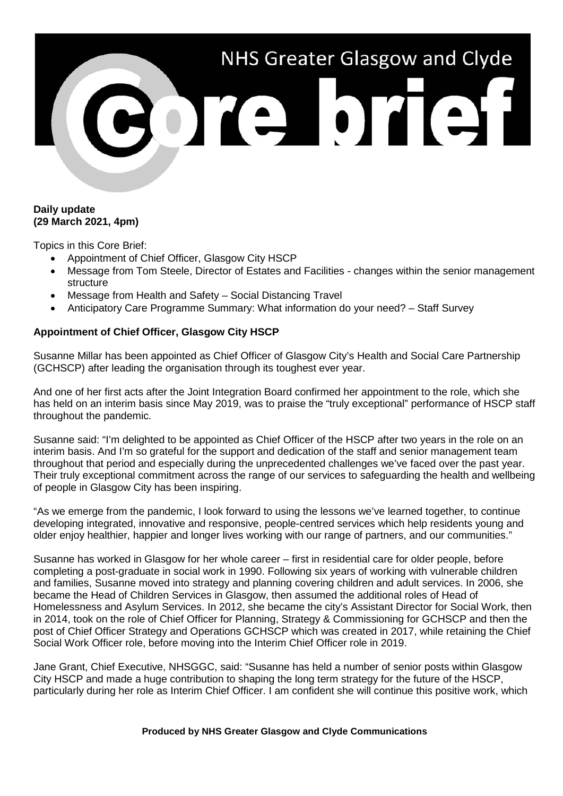# NHS Greater Glasgow and Clyde 301010101

## **Daily update (29 March 2021, 4pm)**

Topics in this Core Brief:

- Appointment of Chief Officer, Glasgow City HSCP
- Message from Tom Steele, Director of Estates and Facilities changes within the senior management structure
- Message from Health and Safety Social Distancing Travel
- Anticipatory Care Programme Summary: What information do your need? Staff Survey

# **Appointment of Chief Officer, Glasgow City HSCP**

Susanne Millar has been appointed as Chief Officer of Glasgow City's Health and Social Care Partnership (GCHSCP) after leading the organisation through its toughest ever year.

And one of her first acts after the Joint Integration Board confirmed her appointment to the role, which she has held on an interim basis since May 2019, was to praise the "truly exceptional" performance of HSCP staff throughout the pandemic.

Susanne said: "I'm delighted to be appointed as Chief Officer of the HSCP after two years in the role on an interim basis. And I'm so grateful for the support and dedication of the staff and senior management team throughout that period and especially during the unprecedented challenges we've faced over the past year. Their truly exceptional commitment across the range of our services to safeguarding the health and wellbeing of people in Glasgow City has been inspiring.

"As we emerge from the pandemic, I look forward to using the lessons we've learned together, to continue developing integrated, innovative and responsive, people-centred services which help residents young and older enjoy healthier, happier and longer lives working with our range of partners, and our communities."

Susanne has worked in Glasgow for her whole career – first in residential care for older people, before completing a post-graduate in social work in 1990. Following six years of working with vulnerable children and families, Susanne moved into strategy and planning covering children and adult services. In 2006, she became the Head of Children Services in Glasgow, then assumed the additional roles of Head of Homelessness and Asylum Services. In 2012, she became the city's Assistant Director for Social Work, then in 2014, took on the role of Chief Officer for Planning, Strategy & Commissioning for GCHSCP and then the post of Chief Officer Strategy and Operations GCHSCP which was created in 2017, while retaining the Chief Social Work Officer role, before moving into the Interim Chief Officer role in 2019.

Jane Grant, Chief Executive, NHSGGC, said: "Susanne has held a number of senior posts within Glasgow City HSCP and made a huge contribution to shaping the long term strategy for the future of the HSCP. particularly during her role as Interim Chief Officer. I am confident she will continue this positive work, which

#### **Produced by NHS Greater Glasgow and Clyde Communications**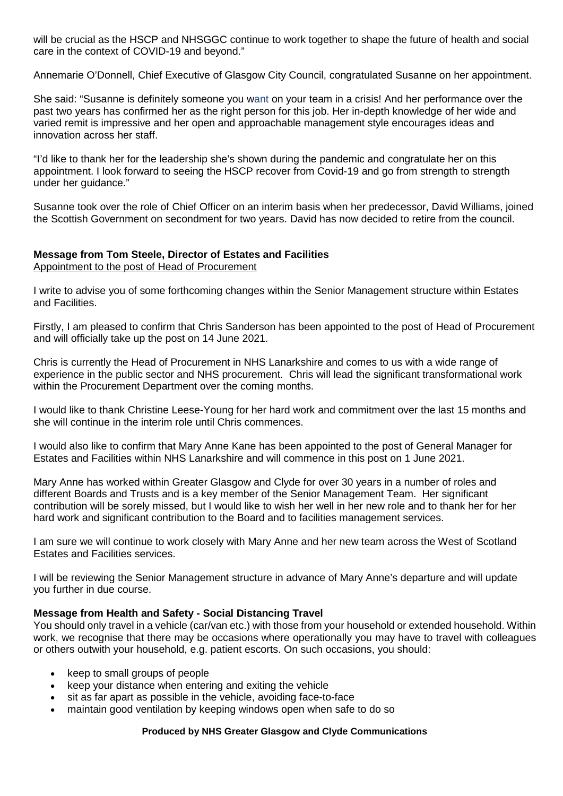will be crucial as the HSCP and NHSGGC continue to work together to shape the future of health and social care in the context of COVID-19 and beyond."

Annemarie O'Donnell, Chief Executive of Glasgow City Council, congratulated Susanne on her appointment.

She said: "Susanne is definitely someone you want on your team in a crisis! And her performance over the past two years has confirmed her as the right person for this job. Her in-depth knowledge of her wide and varied remit is impressive and her open and approachable management style encourages ideas and innovation across her staff.

"I'd like to thank her for the leadership she's shown during the pandemic and congratulate her on this appointment. I look forward to seeing the HSCP recover from Covid-19 and go from strength to strength under her guidance."

Susanne took over the role of Chief Officer on an interim basis when her predecessor, David Williams, joined the Scottish Government on secondment for two years. David has now decided to retire from the council.

## **Message from Tom Steele, Director of Estates and Facilities** Appointment to the post of Head of Procurement

I write to advise you of some forthcoming changes within the Senior Management structure within Estates and Facilities.

Firstly, I am pleased to confirm that Chris Sanderson has been appointed to the post of Head of Procurement and will officially take up the post on 14 June 2021.

Chris is currently the Head of Procurement in NHS Lanarkshire and comes to us with a wide range of experience in the public sector and NHS procurement. Chris will lead the significant transformational work within the Procurement Department over the coming months.

I would like to thank Christine Leese-Young for her hard work and commitment over the last 15 months and she will continue in the interim role until Chris commences.

I would also like to confirm that Mary Anne Kane has been appointed to the post of General Manager for Estates and Facilities within NHS Lanarkshire and will commence in this post on 1 June 2021.

Mary Anne has worked within Greater Glasgow and Clyde for over 30 years in a number of roles and different Boards and Trusts and is a key member of the Senior Management Team. Her significant contribution will be sorely missed, but I would like to wish her well in her new role and to thank her for her hard work and significant contribution to the Board and to facilities management services.

I am sure we will continue to work closely with Mary Anne and her new team across the West of Scotland Estates and Facilities services.

I will be reviewing the Senior Management structure in advance of Mary Anne's departure and will update you further in due course.

## **Message from Health and Safety - Social Distancing Travel**

You should only travel in a vehicle (car/van etc.) with those from your household or extended household. Within work, we recognise that there may be occasions where operationally you may have to travel with colleagues or others outwith your household, e.g. patient escorts. On such occasions, you should:

- keep to small groups of people
- keep your distance when entering and exiting the vehicle
- sit as far apart as possible in the vehicle, avoiding face-to-face
- maintain good ventilation by keeping windows open when safe to do so

#### **Produced by NHS Greater Glasgow and Clyde Communications**